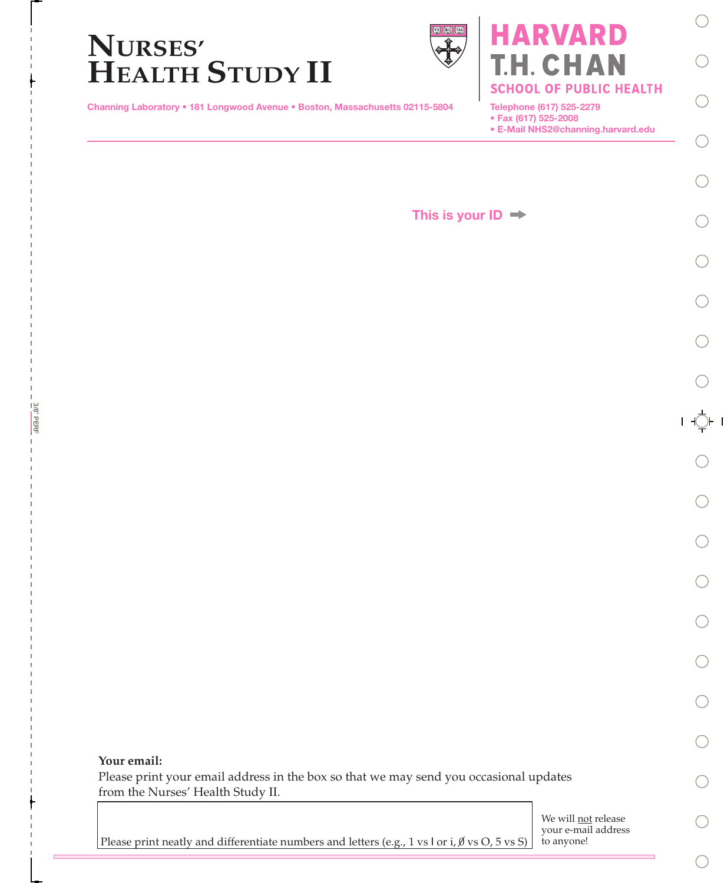

Channing Laboratory • 181 Longwood Avenue • Boston, Massachusetts 02115-5804

Telephone (617) 525-2279

• Fax (617) 525-2008

• E-Mail NHS2@channing.harvard.edu

H. CHAN

**RVARD** 

**SCHOOL OF PUBLIC HEALTH** 

This is your  $ID \rightarrow$ 

t

Please print your email address in the box so that we may send you occasional updates from the Nurses' Health Study II.

> We will **not** release your e-mail address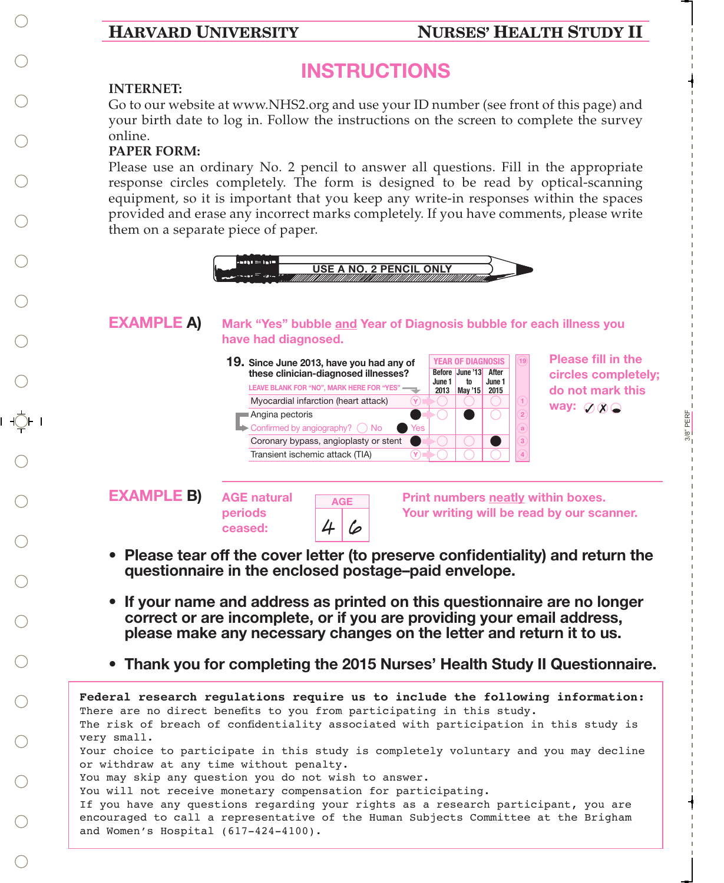## **HARVARD UNIVERSITY NURSES' HEALTH STUDY II**

3/8" PERF

PERF  $3/8"$ 

t.  $\mathbf{L}$  $\mathbf{L}$  $\mathbf{L}$  $\mathbf{L}$  $\mathbf{L}$  $\mathbf{L}$  $\mathbf{L}$  $\mathbf{L}$  $\mathbf{L}$  $\mathbf{L}$  $\mathbf{L}$  $\mathbf{L}$ 

# INSTRUCTIONS

## **INTERNET:**

Go to our website at www.NHS2.org and use your ID number (see front of this page) and your birth date to log in. Follow the instructions on the screen to complete the survey online.

## **PAPER FORM:**

Please use an ordinary No. 2 pencil to answer all questions. Fill in the appropriate response circles completely. The form is designed to be read by optical-scanning equipment, so it is important that you keep any write-in responses within the spaces provided and erase any incorrect marks completely. If you have comments, please write them on a separate piece of paper.



- If your name and address as printed on this questionnaire are no longer correct or are incomplete, or if you are providing your email address, please make any necessary changes on the letter and return it to us.
- Thank you for completing the 2015 Nurses' Health Study II Questionnaire.

```
Federal research regulations require us to include the following information:
There are no direct benefits to you from participating in this study.
The risk of breach of confidentiality associated with participation in this study is
very small.
Your choice to participate in this study is completely voluntary and you may decline
or withdraw at any time without penalty.
You may skip any question you do not wish to answer.
You will not receive monetary compensation for participating.
If you have any questions regarding your rights as a research participant, you are
encouraged to call a representative of the Human Subjects Committee at the Brigham 
and Women's Hospital (617-424-4100).
```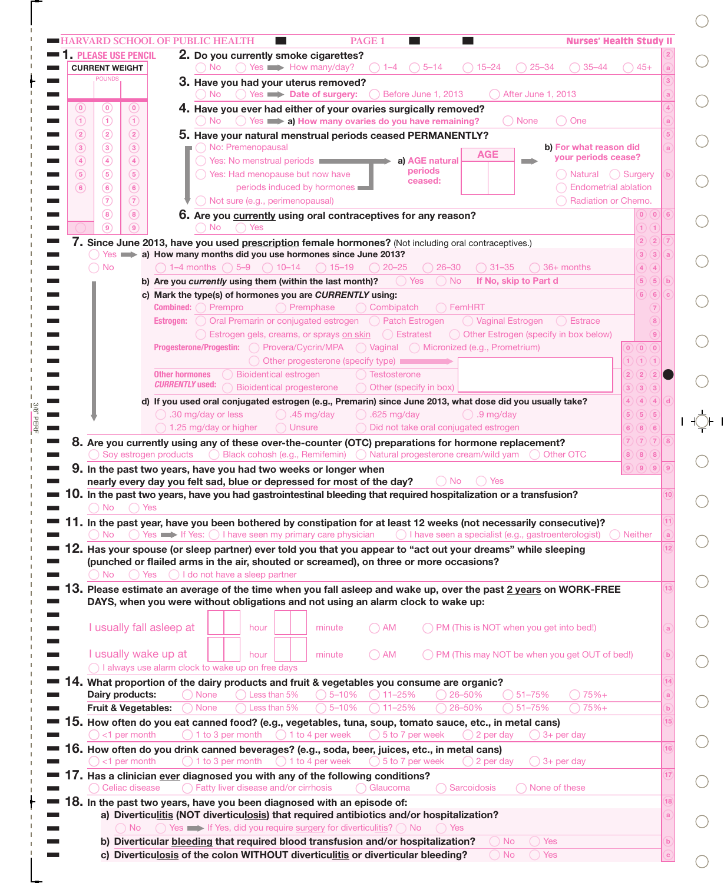|                   |                                        | <b>1. PLEASE USE PENCIL</b> | 2. Do you currently smoke cigarettes?                                                                                                                                                                                                |              |
|-------------------|----------------------------------------|-----------------------------|--------------------------------------------------------------------------------------------------------------------------------------------------------------------------------------------------------------------------------------|--------------|
|                   | <b>CURRENT WEIGHT</b><br><b>POUNDS</b> |                             | $\bigcirc$ Yes $\longrightarrow$ How many/day?<br>$() 5-14$<br>$() 15 - 24$<br>$25 - 34$<br>$35 - 44$<br>$\Box$ No<br>$() 1-4$<br>$)45+$                                                                                             |              |
|                   |                                        |                             | 3. Have you had your uterus removed?<br>$\bigcirc$ Yes $\longrightarrow$ Date of surgery:<br>Before June 1, 2013<br>After June 1, 2013<br>( ) No<br>$\left( \begin{array}{c} \end{array} \right)$                                    |              |
| $\left( 0\right)$ | $\circledcirc$                         | (0)                         | 4. Have you ever had either of your ovaries surgically removed?                                                                                                                                                                      |              |
| $\left( 1\right)$ | $\odot$                                | $\left( 1\right)$           | ◯ None<br>$\bigcirc$ No $\bigcirc$ Yes $\Longrightarrow$ a) How many ovaries do you have remaining?<br>( ) One                                                                                                                       |              |
| (2)               | $\circled{2}$                          | $\circled{2}$               | 5. Have your natural menstrual periods ceased PERMANENTLY?                                                                                                                                                                           |              |
| $\left(3\right)$  | $\circled{3}$                          | $\left( 3\right)$           | O No: Premenopausal<br>b) For what reason did<br><b>AGE</b><br>vour periods cease?                                                                                                                                                   |              |
| (4)               | $\circled{4}$                          | $\left( 4\right)$           | Yes: No menstrual periods <b>Election</b><br>a) AGE natural<br>periods                                                                                                                                                               |              |
| (5)<br>(6)        | $\circled{5}$<br>$\circ$               | (5)<br>(6)                  | ◯ Yes: Had menopause but now have<br>() Natural<br>( ) Surgery<br>ceased:<br>periods induced by hormones<br><b>Endometrial ablation</b>                                                                                              | $\mathbf b$  |
|                   | $\circled{7}$                          | $\circled{7}$               | Not sure (e.g., perimenopausal)<br>Radiation or Chemo.                                                                                                                                                                               |              |
|                   | $\circled{8}$                          | (8)                         | 0)(0)<br>6. Are you currently using oral contraceptives for any reason?                                                                                                                                                              | 6            |
|                   | $\circledcirc$                         | (9)                         | $\bigcap$ No<br>1)(1)<br>() Yes                                                                                                                                                                                                      |              |
|                   |                                        |                             | 2)(2)<br>7. Since June 2013, have you used prescription female hormones? (Not including oral contraceptives.)                                                                                                                        |              |
|                   |                                        |                             | $\bigcirc$ Yes $\implies$ a) How many months did you use hormones since June 2013?<br>3)(3)                                                                                                                                          |              |
|                   | ◯ No                                   |                             | $\bigcirc$ 1–4 months $\bigcirc$ 5–9 $\bigcirc$ 10–14 $\bigcirc$ 15–19<br>$() 26 - 30$<br>$() 31 - 35$<br>$\bigcirc$ 36+ months<br>4)(4)<br>$( ) 20 - 25$<br>If No, skip to Part d<br>$\bigcirc$ No<br>○ Yes<br>5)(5)                |              |
|                   |                                        |                             | b) Are you currently using them (within the last month)?<br>c) Mark the type(s) of hormones you are CURRENTLY using:<br>6)(6)                                                                                                        |              |
|                   |                                        |                             | <b>Combined:</b> $\bigcap$ Prempro<br>O Premphase<br>Combipatch<br>$\bigcap$ FemHRT<br>$\left( 7\right)$                                                                                                                             |              |
|                   |                                        |                             | Oral Premarin or conjugated estrogen (C) Patch Estrogen<br>$\bigcirc$ Vaginal Estrogen $\bigcirc$ Estrace<br>Estrogen:<br>$\left  \right $                                                                                           |              |
|                   |                                        |                             | ◯ Estrogen gels, creams, or sprays on skin ◯ Estratest ◯ Other Estrogen (specify in box below)<br>$\boxed{9}$                                                                                                                        |              |
|                   |                                        |                             | Progesterone/Progestin: ○ Provera/Cycrin/MPA ○ Vaginal ○ Micronized (e.g., Prometrium)<br>$(0)$ $(0)$ $(0)$                                                                                                                          |              |
|                   |                                        |                             | ◯ Other progesterone (specify type)<br>1)(1)<br><b>Other hormones</b><br><b>Bioidentical estrogen</b><br><b>Testosterone</b><br>2)(2)<br>(2)                                                                                         |              |
|                   |                                        |                             | <b>CURRENTLY used:</b><br><b>Bioidentical progesterone</b><br>Other (specify in box)<br>3)(3)(3)                                                                                                                                     |              |
|                   |                                        |                             | d) If you used oral conjugated estrogen (e.g., Premarin) since June 2013, what dose did you usually take?<br>4)(4)(4)                                                                                                                | $\mathsf{d}$ |
|                   |                                        |                             | ◯ .30 mg/day or less<br>$\bigcirc$ .625 mg/day<br>$\bigcirc$ .9 mg/day<br>$\bigcirc$ .45 mg/day<br>5)(5)(5)                                                                                                                          |              |
|                   |                                        |                             | $\bigcirc$ 1.25 mg/day or higher<br>$\bigcap$ Unsure<br>Did not take oral conjugated estrogen<br>6)(6)(6)                                                                                                                            |              |
|                   |                                        |                             |                                                                                                                                                                                                                                      |              |
|                   |                                        |                             | 7)(7)(7)<br>8. Are you currently using any of these over-the-counter (OTC) preparations for hormone replacement?                                                                                                                     |              |
|                   |                                        |                             | Soy estrogen products $\bigcirc$ Black cohosh (e.g., Remifemin) $\bigcirc$ Natural progesterone cream/wild yam $\bigcirc$ Other OTC<br>8)(8)(8)                                                                                      |              |
|                   |                                        |                             | 9. In the past two years, have you had two weeks or longer when<br>(9)(9)(9)<br>$( \ )$ No<br>$()$ Yes                                                                                                                               |              |
|                   |                                        |                             | nearly every day you felt sad, blue or depressed for most of the day?<br>10. In the past two years, have you had gastrointestinal bleeding that required hospitalization or a transfusion?                                           |              |
|                   | )No                                    | ( ) Yes                     |                                                                                                                                                                                                                                      |              |
|                   |                                        |                             | In the past year, have you been bothered by constipation for at least 12 weeks (not necessarily consecutive)?                                                                                                                        |              |
|                   | No.                                    |                             | $\bigcirc$ Yes $\longrightarrow$ If Yes: $\bigcirc$ I have seen my primary care physician<br>◯ I have seen a specialist (e.g., gastroenterologist) ◯ Neither                                                                         |              |
|                   |                                        |                             | $\blacksquare$ 12. Has your spouse (or sleep partner) ever told you that you appear to "act out your dreams" while sleeping<br>(punched or flailed arms in the air, shouted or screamed), on three or more occasions?                |              |
|                   | No.                                    |                             | ◯ Yes ◯ I do not have a sleep partner                                                                                                                                                                                                |              |
|                   |                                        |                             | $\blacksquare$ 13. Please estimate an average of the time when you fall asleep and wake up, over the past <u>2 years</u> on WORK-FREE                                                                                                |              |
|                   |                                        |                             | DAYS, when you were without obligations and not using an alarm clock to wake up:                                                                                                                                                     |              |
|                   |                                        |                             |                                                                                                                                                                                                                                      |              |
|                   |                                        |                             | I usually fall asleep at<br>◯ PM (This is NOT when you get into bed!)<br>$\bigcap$ AM<br>hour<br>minute                                                                                                                              |              |
|                   |                                        |                             | I usually wake up at<br>◯ PM (This may NOT be when you get OUT of bed!)<br>$\bigcirc$ AM<br>hour<br>minute                                                                                                                           |              |
|                   |                                        |                             | ◯ I always use alarm clock to wake up on free days                                                                                                                                                                                   |              |
|                   |                                        |                             | What proportion of the dairy products and fruit & vegetables you consume are organic?                                                                                                                                                | 14           |
|                   | Dairy products:                        |                             | ◯ None<br>$\bigcap$ Less than 5%<br>$\bigcirc$ 5-10%<br>$\bigcap$ 11-25%<br>26-50%<br>$\bigcirc$ 51-75%<br>$\bigcap$ 75%+                                                                                                            | a            |
|                   | Fruit & Vegetables:                    |                             | Less than 5%<br>$5 - 10%$<br>26-50%<br>51-75%<br>$\bigcap 75\% +$<br>$\bigcap$ 11–25%<br><b>None</b>                                                                                                                                 | $\mathbf b$  |
|                   | $\bigcap$ <1 per month                 |                             | How often do you eat canned food? (e.g., vegetables, tuna, soup, tomato sauce, etc., in metal cans)<br>$()$ 3+ per day                                                                                                               | 15           |
|                   |                                        |                             | $\bigcap$ 1 to 3 per month<br>$\bigcap$ 1 to 4 per week<br>$\bigcirc$ 5 to 7 per week<br>$\bigcirc$ 2 per day                                                                                                                        | 16           |
|                   |                                        | <1 per month                | 16. How often do you drink canned beverages? (e.g., soda, beer, juices, etc., in metal cans)<br>$\bigcap$ 1 to 3 per month<br>$\bigcap$ 1 to 4 per week<br>$\bigcirc$ 5 to 7 per week<br>$\bigcap$ 3+ per day<br>$\bigcap$ 2 per day |              |
|                   |                                        |                             | 17. Has a clinician ever diagnosed you with any of the following conditions?                                                                                                                                                         | 17           |
| ■ 14.<br>➡ 15.    |                                        | Celiac disease              | ◯ Fatty liver disease and/or cirrhosis<br>◯ Sarcoidosis<br>$\bigcap$ None of these<br>◯ Glaucoma                                                                                                                                     |              |
|                   |                                        |                             | 18. In the past two years, have you been diagnosed with an episode of:                                                                                                                                                               | 8            |
|                   |                                        | $\big)$ No                  | a) Diverticulitis (NOT diverticulosis) that required antibiotics and/or hospitalization?<br>Yes $\implies$ If Yes, did you require surgery for diverticulitis? $\bigcap$ No<br>◯ Yes                                                 | a            |

3/8" PERF

 $\frac{3/8}{2}$  PERF

 $\bigcirc$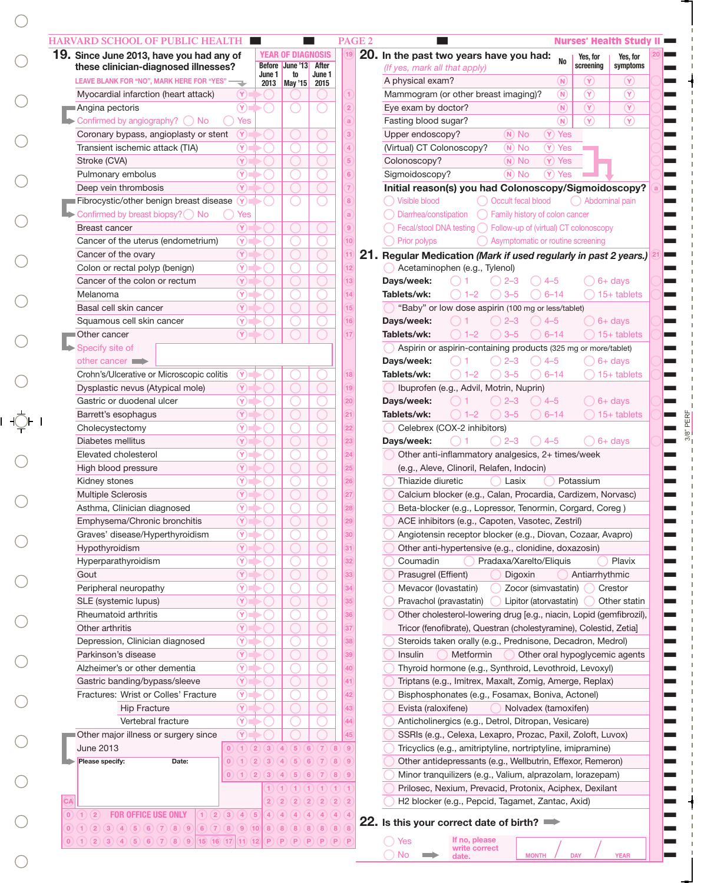| 19. Since June 2013, have you had any of                                                                    |                            |                                     | <b>YEAR OF DIAGNOSIS</b>         |                         | 20. In the past two years have you had:<br>Yes, for<br>Yes, for<br><b>No</b>                   |
|-------------------------------------------------------------------------------------------------------------|----------------------------|-------------------------------------|----------------------------------|-------------------------|------------------------------------------------------------------------------------------------|
| these clinician-diagnosed illnesses?                                                                        |                            |                                     | Before June '13                  | After                   | screening<br>symptoms<br>(If yes, mark all that apply)                                         |
| LEAVE BLANK FOR "NO", MARK HERE FOR "YES" -                                                                 |                            | June 1                              | to<br>2013   May '15             | June 1<br>2015          | $(\lambda)$<br>A physical exam?<br>(N)<br>$(\mathsf{Y})$                                       |
| Myocardial infarction (heart attack)                                                                        | $(\mathsf{Y})$             |                                     |                                  |                         | $\circledR$<br>$\circledR$<br>$\circledR$<br>Mammogram (or other breast imaging)?              |
| Angina pectoris                                                                                             | $\circledcirc$             |                                     |                                  |                         | $\circledcirc$<br>$\binom{}{N}$<br>$\left( \widehat{\mathbf{Y}}\right)$<br>Eye exam by doctor? |
| $\blacktriangleright$ Confirmed by angiography? $\bigcirc$ No                                               | Yes                        |                                     |                                  |                         | $\circledR$<br>$\binom{N}{N}$<br>$\circledR$<br>Fasting blood sugar?                           |
| Coronary bypass, angioplasty or stent                                                                       | $\left( \gamma \right)$    |                                     |                                  |                         | $(Y)$ Yes<br>Upper endoscopy?<br>$(N)$ No                                                      |
| Transient ischemic attack (TIA)                                                                             | $\circledR$                |                                     |                                  |                         | (Virtual) CT Colonoscopy?<br>$(Y)$ Yes<br>$(N)$ No                                             |
| Stroke (CVA)                                                                                                | $\circled{r}$              |                                     |                                  |                         | $(Y)$ Yes<br>Colonoscopy?<br>$(N)$ No                                                          |
| Pulmonary embolus                                                                                           | $\circledR$                |                                     |                                  |                         | $(N)$ No<br>$(Y)$ Yes<br>Sigmoidoscopy?                                                        |
| Deep vein thrombosis                                                                                        | $\circledcirc$             |                                     |                                  |                         | Initial reason(s) you had Colonoscopy/Sigmoidoscopy?                                           |
| Fibrocystic/other benign breast disease (Y)                                                                 |                            |                                     |                                  |                         | ◯ Occult fecal blood<br>() Visible blood<br>() Abdominal pain                                  |
|                                                                                                             | Yes                        |                                     |                                  |                         |                                                                                                |
| Confirmed by breast biopsy? $\bigcirc$ No                                                                   | $(\mathbf{Y})$             |                                     |                                  |                         | $\bigcirc$ Diarrhea/constipation $\bigcirc$ Family history of colon cancer                     |
| <b>Breast cancer</b>                                                                                        |                            |                                     |                                  |                         | $\bigcirc$ Fecal/stool DNA testing $\bigcirc$ Follow-up of (virtual) CT colonoscopy            |
| Cancer of the uterus (endometrium)                                                                          | $\circledcirc$             |                                     |                                  |                         | $\bigcirc$ Prior polyps<br>◯ Asymptomatic or routine screening                                 |
| Cancer of the ovary                                                                                         | $\circledcirc$             |                                     |                                  |                         | 21. Regular Medication (Mark if used regularly in past 2 years.)                               |
| Colon or rectal polyp (benign)                                                                              | $\circledcirc$             |                                     |                                  |                         | Acetaminophen (e.g., Tylenol)                                                                  |
| Cancer of the colon or rectum                                                                               | $\left( \mathrm{V}\right)$ |                                     |                                  |                         | Days/week:<br>$\bigcirc$ 6+ days<br>$2 - 3$<br>$( ) 4-5 $                                      |
| Melanoma                                                                                                    | $\circledcirc$             |                                     |                                  |                         | Tablets/wk:<br>$) 1 - 2$<br>$3 - 5$<br>$() 6-14$<br>$15+$ tablets                              |
| Basal cell skin cancer                                                                                      | $\circled{r}$              |                                     |                                  |                         | "Baby" or low dose aspirin (100 mg or less/tablet)                                             |
| Squamous cell skin cancer                                                                                   | $\circledcirc$             |                                     |                                  |                         | Days/week:<br>$2 - 3$<br>$\bigcirc$ 6+ days<br>$() 4-5$                                        |
| ■Other cancer                                                                                               | $\circledR$                |                                     |                                  |                         | $3 - 5$<br>Tablets/wk:<br>$) 1 - 2$<br>$6 - 14$<br>$( ) 15+$ tablets                           |
| Specify site of                                                                                             |                            |                                     |                                  |                         | Aspirin or aspirin-containing products (325 mg or more/tablet)                                 |
| other cancer $\blacksquare$                                                                                 |                            |                                     |                                  |                         | Days/week:<br>$2 - 3$<br>$\bigcirc$ 6+ days<br>$( ) 4 - 5 $                                    |
| Crohn's/Ulcerative or Microscopic colitis                                                                   | $\circledcirc$             |                                     |                                  |                         | Tablets/wk:<br>$) 1 - 2$<br>$3 - 5$<br>$6 - 14$<br>$\bigcap$ 15+ tablets                       |
| Dysplastic nevus (Atypical mole)                                                                            | $\circled{r}$              |                                     |                                  |                         | Ibuprofen (e.g., Advil, Motrin, Nuprin)                                                        |
| Gastric or duodenal ulcer                                                                                   | $\circledcirc$             |                                     |                                  |                         | Days/week:<br>$2 - 3$<br>$\bigcirc$ 6+ days<br>$() 4-5$                                        |
| Barrett's esophagus                                                                                         | $\circled{r}$              |                                     |                                  |                         | $\bigcirc$ 3-5<br>Tablets/wk:<br>$\bigcirc$ 1–2<br>$() 6-14$<br>$\bigcirc$ 15+ tablets         |
| Cholecystectomy                                                                                             | $\circledR$                |                                     |                                  |                         | Celebrex (COX-2 inhibitors)                                                                    |
|                                                                                                             |                            |                                     |                                  |                         |                                                                                                |
| Diabetes mellitus                                                                                           | $\circledR$                |                                     |                                  |                         | Days/week:<br>$() 4-5$<br>$2 - 3$<br>$( ) 6+ days$                                             |
| Elevated cholesterol                                                                                        | $\circledR$                |                                     |                                  |                         | Other anti-inflammatory analgesics, 2+ times/week                                              |
| High blood pressure                                                                                         | $\circledR$                |                                     |                                  |                         | (e.g., Aleve, Clinoril, Relafen, Indocin)                                                      |
| Kidney stones                                                                                               | $\circledR$                |                                     |                                  |                         | Thiazide diuretic<br>Potassium<br>Lasix                                                        |
| <b>Multiple Sclerosis</b>                                                                                   | $\circledR$                |                                     |                                  |                         | Calcium blocker (e.g., Calan, Procardia, Cardizem, Norvasc)                                    |
| Asthma, Clinician diagnosed                                                                                 | $\circledR$                |                                     |                                  |                         | Beta-blocker (e.g., Lopressor, Tenormin, Corgard, Coreg)                                       |
| Emphysema/Chronic bronchitis                                                                                | $(\widehat{\textbf{Y}})$   |                                     |                                  |                         | ACE inhibitors (e.g., Capoten, Vasotec, Zestril)                                               |
| Graves' disease/Hyperthyroidism                                                                             | $\circled{r}$              |                                     |                                  |                         | Angiotensin receptor blocker (e.g., Diovan, Cozaar, Avapro)                                    |
| Hypothyroidism                                                                                              | $\circled{r}$              |                                     |                                  |                         | Other anti-hypertensive (e.g., clonidine, doxazosin)                                           |
| Hyperparathyroidism                                                                                         | $\circledcirc$             |                                     |                                  |                         | Coumadin<br>Pradaxa/Xarelto/Eliquis<br>Plavix                                                  |
| Gout                                                                                                        | $\circled{r}$              |                                     |                                  |                         | Prasugrel (Effient)<br>Digoxin<br>Antiarrhythmic                                               |
| Peripheral neuropathy                                                                                       | $\circledcirc$             |                                     |                                  |                         | Mevacor (lovastatin)<br>Zocor (simvastatin)<br>Crestor                                         |
| SLE (systemic lupus)                                                                                        | $\circled{r}$              |                                     |                                  |                         | Pravachol (pravastatin)<br>Lipitor (atorvastatin)<br>Other statin                              |
| Rheumatoid arthritis                                                                                        | $\circledcirc$             |                                     |                                  |                         | Other cholesterol-lowering drug [e.g., niacin, Lopid (gemfibrozil),                            |
| Other arthritis                                                                                             | $\circled{r}$              |                                     |                                  |                         | Tricor (fenofibrate), Questran (cholestyramine), Colestid, Zetia]                              |
| Depression, Clinician diagnosed                                                                             | $\circledcirc$             |                                     |                                  |                         | Steroids taken orally (e.g., Prednisone, Decadron, Medrol)                                     |
|                                                                                                             |                            |                                     |                                  |                         |                                                                                                |
| Parkinson's disease                                                                                         | $\circled{r}$              |                                     |                                  |                         | Insulin<br>Metformin<br>Other oral hypoglycemic agents                                         |
| Alzheimer's or other dementia                                                                               | $\circledcirc$             |                                     |                                  |                         | Thyroid hormone (e.g., Synthroid, Levothroid, Levoxyl)                                         |
| Gastric banding/bypass/sleeve                                                                               | $\circled{r}$              |                                     |                                  |                         | Triptans (e.g., Imitrex, Maxalt, Zomig, Amerge, Replax)                                        |
| Fractures: Wrist or Colles' Fracture                                                                        | $\circledcirc$             |                                     |                                  |                         | Bisphosphonates (e.g., Fosamax, Boniva, Actonel)                                               |
| <b>Hip Fracture</b>                                                                                         | $\circled{r}$              |                                     |                                  |                         | Evista (raloxifene)<br>Nolvadex (tamoxifen)                                                    |
| Vertebral fracture                                                                                          | $\circledcirc$             |                                     |                                  |                         | Anticholinergics (e.g., Detrol, Ditropan, Vesicare)                                            |
| Other major illness or surgery since                                                                        | $(\mathsf{Y})$             |                                     |                                  |                         | SSRIs (e.g., Celexa, Lexapro, Prozac, Paxil, Zoloft, Luvox)                                    |
| <b>June 2013</b>                                                                                            | (0)(1)<br>$\overline{2}$   | $\overline{3}$                      | (5)<br>$\left( 4\right)$<br>6    | (7)(8)(9)               | Tricyclics (e.g., amitriptyline, nortriptyline, imipramine)                                    |
| Please specify:<br>Date:                                                                                    | $\left( 2\right)$<br>0)(1) | $\lceil 3 \rceil$                   | (5)<br>(6)<br>$\left( 4 \right)$ | (7)<br>(8)(9)           | Other antidepressants (e.g., Wellbutrin, Effexor, Remeron)                                     |
|                                                                                                             |                            |                                     | (0)(1)(2)(3)(4)(5)(6)            | (7)(8)(9)               | Minor tranquilizers (e.g., Valium, alprazolam, lorazepam)                                      |
|                                                                                                             |                            |                                     |                                  | (1)(1)(1)               | Prilosec, Nexium, Prevacid, Protonix, Aciphex, Dexilant                                        |
| CA                                                                                                          |                            | $\overline{2}$<br>$\left( 2\right)$ | (2)<br>(2)                       | $\circled{2}$<br>(2)(2) |                                                                                                |
|                                                                                                             |                            |                                     |                                  |                         | H2 blocker (e.g., Pepcid, Tagamet, Zantac, Axid)                                               |
| <b>FOR OFFICE USE ONLY</b><br>1) (2) (3) (4) (5)<br>$\mathbf{0}$ )<br>(1)(2)                                |                            | 4)(4)                               |                                  | (4)(4)(4)(4)(4)         | 22. Is this your correct date of birth?                                                        |
| $(1) (2) (3) (4) (5) (6) (7) (8) (9) (6) (7) (8) (9) (10) (8) (8) (8) (8) (8) (8) (8)$<br>$\vert 0 \rangle$ |                            |                                     |                                  |                         |                                                                                                |

 $\bigcirc$ 

 $\bigcirc$ 

3/8" PERF

 $3/8$ " PERF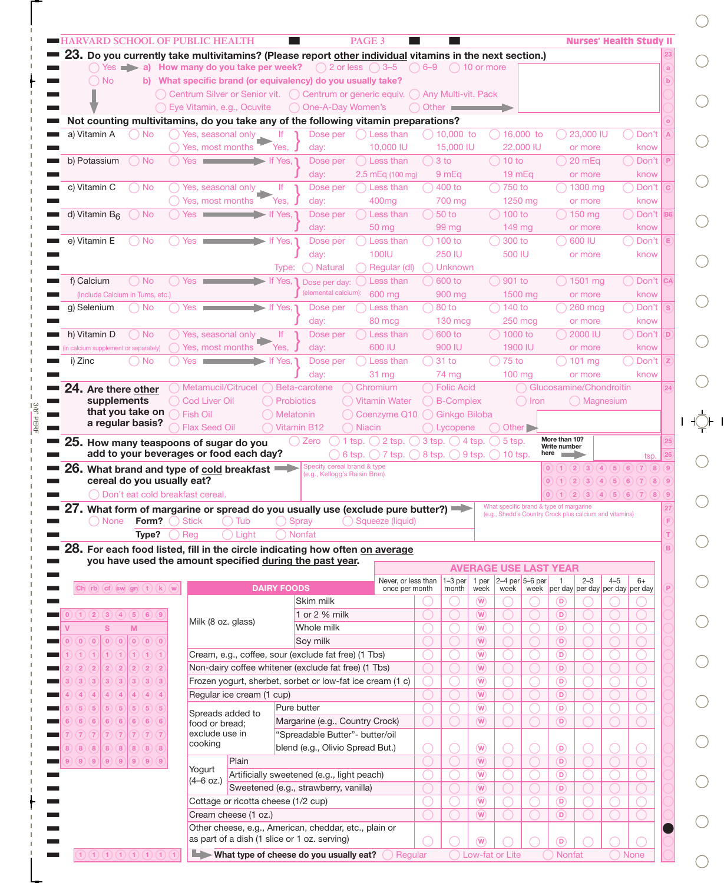|                                                                                     |                   |                                                                  | $\bigcap$ Yes $\blacktriangleright$ a) How many do you take per week?                                                                                                                                                                |                    |                               |                                                              | 23. Do you currently take multivitamins? (Please report other individual vitamins in the next section.)<br>$\bigcirc$ 2 or less $\bigcirc$ 3-5 | $\bigcirc$ 6-9 $\bigcirc$ 10 or more |                            |                                               |                                         |                 |                               |                                                         |         |                    |  |
|-------------------------------------------------------------------------------------|-------------------|------------------------------------------------------------------|--------------------------------------------------------------------------------------------------------------------------------------------------------------------------------------------------------------------------------------|--------------------|-------------------------------|--------------------------------------------------------------|------------------------------------------------------------------------------------------------------------------------------------------------|--------------------------------------|----------------------------|-----------------------------------------------|-----------------------------------------|-----------------|-------------------------------|---------------------------------------------------------|---------|--------------------|--|
| $\bigcirc$ No                                                                       |                   |                                                                  |                                                                                                                                                                                                                                      |                    |                               |                                                              | b) What specific brand (or equivalency) do you usually take?                                                                                   |                                      |                            |                                               |                                         |                 |                               |                                                         |         |                    |  |
|                                                                                     |                   |                                                                  |                                                                                                                                                                                                                                      |                    |                               |                                                              | ◯ Centrum Silver or Senior vit. () Centrum or generic equiv. () Any Multi-vit. Pack                                                            |                                      |                            |                                               |                                         |                 |                               |                                                         |         |                    |  |
|                                                                                     |                   |                                                                  | ◯ Eye Vitamin, e.g., Ocuvite                                                                                                                                                                                                         |                    |                               | ◯ One-A-Day Women's                                          |                                                                                                                                                | $\bigcap$ Other $\blacksquare$       |                            |                                               |                                         |                 |                               |                                                         |         |                    |  |
|                                                                                     |                   |                                                                  |                                                                                                                                                                                                                                      |                    |                               |                                                              | Not counting multivitamins, do you take any of the following vitamin preparations?                                                             |                                      |                            |                                               |                                         |                 |                               |                                                         |         |                    |  |
| a) Vitamin A                                                                        | ) No              |                                                                  | Yes, seasonal only                                                                                                                                                                                                                   |                    |                               | Dose per                                                     | Less than                                                                                                                                      |                                      | 10,000 to                  |                                               |                                         | 16,000 to       |                               | 23,000 IU                                               |         | Don't              |  |
|                                                                                     |                   |                                                                  | Yes, most months                                                                                                                                                                                                                     |                    | Yes.                          | day:                                                         | 10,000 IU                                                                                                                                      |                                      | 15,000 IU                  |                                               |                                         | 22,000 IU       |                               | or more                                                 |         | know               |  |
| b) Potassium                                                                        | $\big)$ No        |                                                                  | Yes <b>the contract of the contract of the contract of the contract of the contract of the contract of the contract of the contract of the contract of the contract of the contract of the contract of the contract of the contr</b> |                    | $\blacktriangleright$ If Yes, | Dose per                                                     | Less than                                                                                                                                      |                                      | $3$ to                     |                                               | $()$ 10 to                              |                 |                               | $20 \text{ mEq}$                                        |         | Don't              |  |
|                                                                                     |                   |                                                                  |                                                                                                                                                                                                                                      |                    |                               | day:                                                         | 2.5 mEg (100 mg)                                                                                                                               |                                      | 9 mEg                      |                                               | $19m$ Eq                                |                 |                               | or more                                                 |         | know               |  |
| c) Vitamin C                                                                        | $)$ No            |                                                                  | Yes, seasonal only                                                                                                                                                                                                                   |                    | lf.                           | Dose per                                                     | Less than                                                                                                                                      |                                      | $400$ to                   |                                               | 750 to                                  |                 |                               | 1300 mg                                                 |         | ) Don't            |  |
|                                                                                     |                   |                                                                  | Yes, most months                                                                                                                                                                                                                     |                    | Yes,                          | day:                                                         | 400 <sub>mg</sub>                                                                                                                              |                                      | 700 mg                     |                                               | 1250 mg                                 |                 |                               | or more                                                 |         | know               |  |
| d) Vitamin B <sub>6</sub>                                                           | ) No              | Yes                                                              | the control of the control of the                                                                                                                                                                                                    |                    | If Yes,                       | Dose per                                                     | Less than<br>50 mg                                                                                                                             |                                      | 50 <sub>to</sub><br>99 mg  |                                               | 100 to<br>149 mg                        |                 |                               | $\frac{150}{150}$ mg                                    |         | Don't              |  |
| e) Vitamin E                                                                        | ) No              |                                                                  | $Yes \t$                                                                                                                                                                                                                             |                    | If Yes,                       | day:<br>Dose per                                             | Less than                                                                                                                                      |                                      | 100 to                     |                                               | 300 to                                  |                 |                               | or more<br>600 IU                                       |         | know<br>Don't      |  |
|                                                                                     |                   |                                                                  |                                                                                                                                                                                                                                      |                    |                               | day:                                                         | 100IU                                                                                                                                          |                                      | 250 IU                     |                                               | 500 IU                                  |                 |                               | or more                                                 |         | know               |  |
|                                                                                     |                   |                                                                  |                                                                                                                                                                                                                                      |                    | Type:                         | ) Natural                                                    | Regular (dl)                                                                                                                                   |                                      | Unknown                    |                                               |                                         |                 |                               |                                                         |         |                    |  |
| f) Calcium                                                                          | $\bigcirc$ No     | Yes                                                              |                                                                                                                                                                                                                                      |                    | If Yes,                       | Dose per day:                                                | Less than                                                                                                                                      |                                      | 600 to                     |                                               | 901 to                                  |                 |                               | 1501 mg                                                 |         | Don't              |  |
| (Include Calcium in Tums, etc.)                                                     |                   |                                                                  |                                                                                                                                                                                                                                      |                    |                               | (elemental calcium):                                         | 600 mg                                                                                                                                         |                                      | 900 mg                     |                                               | 1500 mg                                 |                 |                               | or more                                                 |         | know               |  |
| a) Selenium                                                                         | ) No              |                                                                  | $Yes \t$                                                                                                                                                                                                                             |                    | If Yes,                       | Dose per                                                     | Less than                                                                                                                                      |                                      | 80 to                      |                                               | 140 to                                  |                 |                               | 260 mcg                                                 |         | Don't              |  |
|                                                                                     |                   |                                                                  |                                                                                                                                                                                                                                      |                    |                               | day:                                                         | 80 mcg                                                                                                                                         |                                      | <b>130 mcg</b>             |                                               | <b>250 mcg</b>                          |                 |                               | or more                                                 |         | know               |  |
| h) Vitamin D                                                                        | $\bigcap$ No      |                                                                  | Yes, seasonal only                                                                                                                                                                                                                   |                    | lf.                           | Dose per                                                     | Less than                                                                                                                                      |                                      | 600 to                     |                                               | 1000 to                                 |                 |                               | 2000 IU                                                 |         | Don't              |  |
| calcium supplement or separately)                                                   |                   |                                                                  | Yes, most months                                                                                                                                                                                                                     |                    | Yes,                          | day:                                                         | 600 IU                                                                                                                                         |                                      | 900 IU                     |                                               | 1900 IU                                 |                 |                               | or more                                                 |         | know               |  |
| i) Zinc                                                                             | $\big)$ No        |                                                                  | $Yes$ $\blacksquare$                                                                                                                                                                                                                 |                    | If Yes,                       | Dose per                                                     | Less than                                                                                                                                      |                                      | $31$ to                    |                                               | 75 to                                   |                 |                               | $101$ mg                                                |         | Don't              |  |
|                                                                                     |                   |                                                                  |                                                                                                                                                                                                                                      |                    |                               | day:                                                         | 31 mg                                                                                                                                          |                                      | 74 mg                      |                                               | 100 mg                                  |                 |                               | or more                                                 |         | know               |  |
| 24. Are there other                                                                 |                   |                                                                  | Metamucil/Citrucel                                                                                                                                                                                                                   |                    |                               | Beta-carotene                                                | Chromium                                                                                                                                       |                                      | Folic Acid                 |                                               |                                         |                 |                               | Glucosamine/Chondroitin                                 |         |                    |  |
| supplements                                                                         |                   |                                                                  | <b>Cod Liver Oil</b>                                                                                                                                                                                                                 |                    | Probiotics                    |                                                              | <b>Vitamin Water</b>                                                                                                                           |                                      | <b>B-Complex</b>           |                                               |                                         | $\bigcirc$ Iron |                               | ◯ Magnesium                                             |         |                    |  |
|                                                                                     | that you take on  | <b>Fish Oil</b>                                                  |                                                                                                                                                                                                                                      |                    |                               |                                                              |                                                                                                                                                |                                      |                            | Ginkgo Biloba                                 |                                         |                 |                               |                                                         |         |                    |  |
|                                                                                     |                   |                                                                  |                                                                                                                                                                                                                                      |                    | Melatonin                     |                                                              | Coenzyme Q10                                                                                                                                   |                                      |                            |                                               |                                         |                 |                               |                                                         |         |                    |  |
|                                                                                     | a regular basis?  |                                                                  | Flax Seed Oil                                                                                                                                                                                                                        |                    | Vitamin B12                   |                                                              | <b>Niacin</b>                                                                                                                                  |                                      | () Lycopene                |                                               | Other <sup>1</sup>                      |                 |                               |                                                         |         |                    |  |
| 25. How many teaspoons of sugar do you                                              |                   |                                                                  |                                                                                                                                                                                                                                      |                    |                               | $\bigcirc$ Zero                                              | $\bigcap$ 2 tsp.<br>1 tsp.                                                                                                                     |                                      | $3$ tsp. $\bigcirc$ 4 tsp. |                                               | $5$ tsp.                                |                 | More than 10?<br>Write number |                                                         |         |                    |  |
|                                                                                     |                   |                                                                  | add to your beverages or food each day?                                                                                                                                                                                              |                    |                               |                                                              | 6 tsp. $\bigcap$ 7 tsp. $\bigcap$ 8 tsp. $\bigcap$ 9 tsp.                                                                                      |                                      |                            |                                               | ) 10 tsp.                               | here            |                               |                                                         |         | tsp.               |  |
| 26. What brand and type of cold breakfast                                           |                   |                                                                  |                                                                                                                                                                                                                                      |                    |                               | Specify cereal brand & type<br>(e.g., Kellogg's Raisin Bran) |                                                                                                                                                |                                      |                            |                                               |                                         |                 |                               | $\overline{2}$<br>$\lceil 3 \rceil$                     | (4)(5)  | (7)(8)(9)<br>(6)   |  |
|                                                                                     |                   | cereal do you usually eat?<br>◯ Don't eat cold breakfast cereal. |                                                                                                                                                                                                                                      |                    |                               |                                                              |                                                                                                                                                |                                      |                            |                                               |                                         |                 | $\vert 0 \rangle$             | (2)<br>$\left( 3\right)$<br>(2)(3)(4)(5)(6)(7)(8)(9)    |         | (4)(5)(6)(7)(8)(9) |  |
|                                                                                     |                   |                                                                  |                                                                                                                                                                                                                                      |                    |                               |                                                              |                                                                                                                                                |                                      |                            |                                               | What specific brand & type of margarine |                 |                               |                                                         |         |                    |  |
|                                                                                     |                   |                                                                  |                                                                                                                                                                                                                                      |                    |                               |                                                              | ■ 27. What form of margarine or spread do you usually use (exclude pure butter?)<br>○ None Form? ○ Stick ○ Tub ○ Spray ○ Squeeze (liquid)      |                                      |                            |                                               |                                         |                 |                               | (e.g., Shedd's Country Crock plus calcium and vitamins) |         |                    |  |
|                                                                                     | Type?             | ) Reg                                                            | Light                                                                                                                                                                                                                                |                    |                               | <b>Nonfat</b>                                                |                                                                                                                                                |                                      |                            |                                               |                                         |                 |                               |                                                         |         |                    |  |
|                                                                                     |                   |                                                                  |                                                                                                                                                                                                                                      |                    |                               |                                                              | 28. For each food listed, fill in the circle indicating how often on average                                                                   |                                      |                            |                                               |                                         |                 |                               |                                                         |         |                    |  |
|                                                                                     |                   |                                                                  |                                                                                                                                                                                                                                      |                    |                               | you have used the amount specified during the past year.     |                                                                                                                                                |                                      |                            |                                               | <b>AVERAGE USE LAST YEAR</b>            |                 |                               |                                                         |         |                    |  |
|                                                                                     |                   |                                                                  |                                                                                                                                                                                                                                      |                    |                               |                                                              | Never, or less than                                                                                                                            |                                      | $1-3$ per                  | 1 per                                         | $2-4$ per $5-6$ per                     |                 | -1                            | $2 - 3$                                                 | $4 - 5$ | $6+$               |  |
| $\boxed{\text{Ch}(\text{rb})\text{cf}}$ sw $\boxed{\text{gn}(\text{t})\text{ (k)}}$ |                   |                                                                  |                                                                                                                                                                                                                                      | <b>DAIRY FOODS</b> |                               |                                                              | once per month                                                                                                                                 |                                      | month                      | week                                          | week                                    |                 |                               | week per day per day per day per day                    |         |                    |  |
|                                                                                     |                   |                                                                  |                                                                                                                                                                                                                                      |                    |                               | Skim milk                                                    |                                                                                                                                                |                                      |                            | W)                                            |                                         |                 | D                             |                                                         |         |                    |  |
| (1)(2)(3)(4)(5)(6)(9)                                                               |                   |                                                                  | Milk (8 oz. glass)                                                                                                                                                                                                                   |                    |                               | 1 or 2 % milk                                                |                                                                                                                                                |                                      |                            | $(\mathsf{W})$                                |                                         |                 | $\left( \mathsf{D}\right)$    |                                                         |         |                    |  |
| S                                                                                   | M                 |                                                                  |                                                                                                                                                                                                                                      |                    |                               | Whole milk                                                   |                                                                                                                                                |                                      |                            | $\left(\mathbf{W}\right)$                     |                                         |                 | $\mathbf{D}$                  |                                                         |         |                    |  |
| (0)(0)<br>(0)(0)                                                                    | (0)(0)(0)         |                                                                  |                                                                                                                                                                                                                                      |                    |                               | Soy milk                                                     |                                                                                                                                                |                                      |                            | $(\mathsf{W})$                                |                                         |                 | $\mathsf{D}$                  |                                                         |         |                    |  |
| $\bigoplus$ $\bigoplus$<br>(1)                                                      | (1)(1)(1)         |                                                                  |                                                                                                                                                                                                                                      |                    |                               | Cream, e.g., coffee, sour (exclude fat free) (1 Tbs)         |                                                                                                                                                |                                      |                            | $\left(\overline{W}\right)$                   |                                         |                 | $\mathbf{D}$                  |                                                         |         |                    |  |
| $(2)$ $(2)$<br>$\left( 2\right)$<br>$\left( 2\right)$                               | (2)(2)(2)         |                                                                  |                                                                                                                                                                                                                                      |                    |                               |                                                              | Non-dairy coffee whitener (exclude fat free) (1 Tbs)                                                                                           |                                      |                            | $(\mathsf{W})$                                |                                         |                 | $\mathsf{D}$                  |                                                         |         |                    |  |
| (3)(3)<br>$\left(3\right)$<br>$\left( 3\right)$                                     | (3)(3)(3)         |                                                                  |                                                                                                                                                                                                                                      |                    |                               |                                                              | Frozen yogurt, sherbet, sorbet or low-fat ice cream (1 c)                                                                                      |                                      |                            | $\left(\mathbf{W}\right)$                     |                                         |                 | $\mathbf{D}$                  |                                                         |         |                    |  |
| $\left(4\right)\left(4\right)$<br>(4)                                               | (4)(4)(4)         |                                                                  | Regular ice cream (1 cup)                                                                                                                                                                                                            |                    |                               |                                                              |                                                                                                                                                |                                      |                            | $(\mathsf{W})$                                |                                         |                 | $\mathsf{D}$                  |                                                         |         |                    |  |
| (5)(5)<br>$\left(5\right)$<br>$\left(5\right)$                                      | $(5)$ $(5)$ $(5)$ |                                                                  | Spreads added to                                                                                                                                                                                                                     |                    | Pure butter                   |                                                              |                                                                                                                                                |                                      |                            | $\left(\mathbf{W}\right)$                     |                                         |                 | $\circledR$                   |                                                         |         |                    |  |
| (6)(6)<br>(6)<br>6                                                                  | (6)(6)(6)         |                                                                  | food or bread;<br>exclude use in                                                                                                                                                                                                     |                    |                               |                                                              | Margarine (e.g., Country Crock)                                                                                                                |                                      |                            | (W)                                           |                                         |                 | $\circledR$                   |                                                         |         |                    |  |
| (7)(7)<br>(7)<br>(8)                                                                | $(7)$ $(7)$ $(7)$ |                                                                  | cooking                                                                                                                                                                                                                              |                    |                               |                                                              | "Spreadable Butter"- butter/oil                                                                                                                |                                      |                            |                                               |                                         |                 |                               |                                                         |         |                    |  |
| (8)                                                                                 | (8)(8)(8)(8)(8)   |                                                                  | Plain                                                                                                                                                                                                                                |                    |                               |                                                              | blend (e.g., Olivio Spread But.)                                                                                                               |                                      |                            | $\circledR$<br>$(\mathsf{W})$                 |                                         |                 | $\circledR$<br>$\circledR$    |                                                         |         |                    |  |
|                                                                                     |                   |                                                                  | Yogurt                                                                                                                                                                                                                               |                    |                               |                                                              |                                                                                                                                                |                                      |                            |                                               |                                         |                 | $\circ$                       |                                                         |         |                    |  |
|                                                                                     |                   |                                                                  | $(4-6 oz.)$                                                                                                                                                                                                                          |                    |                               | Artificially sweetened (e.g., light peach)                   |                                                                                                                                                |                                      |                            | $\left(\overline{W}\right)$<br>$(\mathsf{W})$ |                                         |                 | $\mathbf{D}$                  |                                                         |         |                    |  |
| $(9)$ $(9)$ $(9)$ $(9)$ $(9)$ $(9)$ $(9)$                                           |                   |                                                                  | Cottage or ricotta cheese (1/2 cup)                                                                                                                                                                                                  |                    |                               | Sweetened (e.g., strawberry, vanilla)                        |                                                                                                                                                |                                      |                            | $\left(\overline{W}\right)$                   |                                         |                 | $\circledR$                   |                                                         |         |                    |  |
|                                                                                     |                   |                                                                  | Cream cheese (1 oz.)                                                                                                                                                                                                                 |                    |                               |                                                              |                                                                                                                                                |                                      |                            | (W)                                           |                                         |                 | $\circledR$                   |                                                         |         |                    |  |
|                                                                                     |                   |                                                                  |                                                                                                                                                                                                                                      |                    |                               |                                                              | Other cheese, e.g., American, cheddar, etc., plain or                                                                                          |                                      |                            |                                               |                                         |                 |                               |                                                         |         |                    |  |
|                                                                                     |                   |                                                                  |                                                                                                                                                                                                                                      |                    |                               | as part of a dish (1 slice or 1 oz. serving)                 |                                                                                                                                                |                                      |                            | $\circled{w}$                                 |                                         |                 | $\mathbf{D}$                  |                                                         |         |                    |  |

3/8" PERF

 $\frac{3/8}{2}$  PERF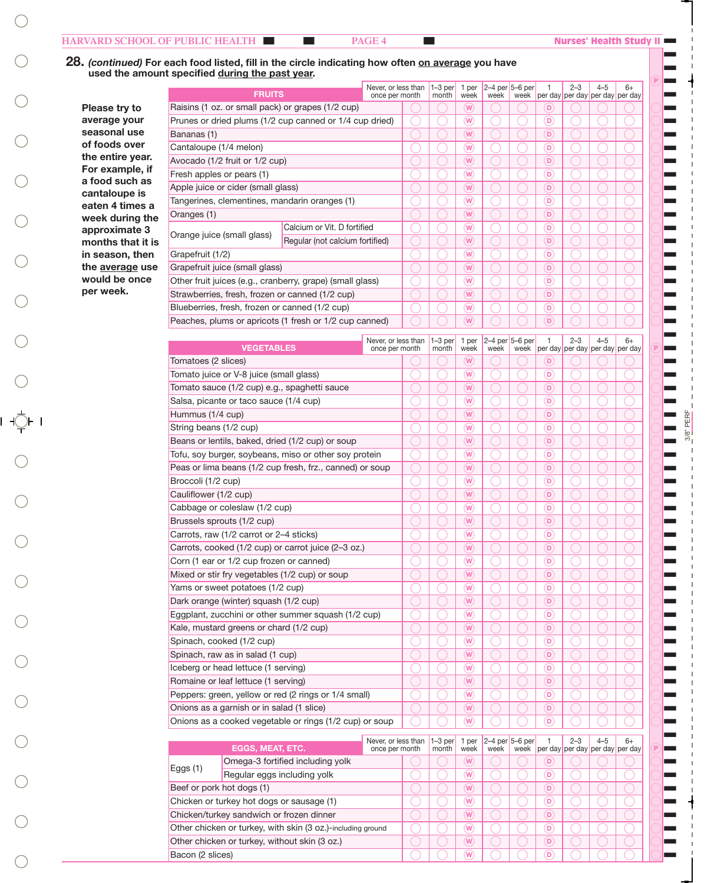Bacon (2 slices)

### | | **PAGE 4** |

T T T T T T T T T T T T T T T T T T T  $\blacksquare$  $\blacksquare$  $\blacksquare$  $\blacksquare$  $\blacksquare$  $\blacksquare$  $\blacksquare$  $\blacksquare$  $\blacksquare$  $\blacksquare$  $\blacksquare$  $\blacksquare$ T  $\blacksquare$  $\blacksquare$  $\blacksquare$  $\blacksquare$  $\blacksquare$  $\blacksquare$  $\blacksquare$  $\blacksquare$  $\blacksquare$  $\blacksquare$  $\blacksquare$  $\blacksquare$  $\blacksquare$  $\blacksquare$  $\blacksquare$  $\blacksquare$  $\blacksquare$  $\blacksquare$  $\blacksquare$  $\blacksquare$  $\blacksquare$  $\blacksquare$  $\blacksquare$  $\blacksquare$  $\blacksquare$  $\blacksquare$  $\blacksquare$  $\blacksquare$  $\blacksquare$ 

3/8" PERF

### **FRUITS** VEGETABLES 28. *(continued)* For each food listed, fill in the circle indicating how often on average you have used the amount specified during the past year.  $\circledR$  $\circledR$ Never, or less than 1–3 per once per month Never, or less than once per month month 1–3 per month 1 per week 1 per week 1 per day 1 ner day  $2 - 3$ per day per day per day 2–3 per day per day per day 4–5 4–5  $6+$ 6+ 2–4 per 5–6 per week 2–4 per 5–6 per week week week  $\overline{\bigcirc}$  $\overline{\bigcirc}$  $\overline{\bigcirc}$  $\overline{\bigcirc}$  $\overline{\bigcirc}$  $\overline{\bigcirc}$  $\overline{\bigcirc}$  $\overline{\bigcirc}$  $\overline{\bigcirc}$  $\overline{\bigcirc}$  $\overline{\bigcirc}$  $\overline{\bigcirc}$  $\overline{\bigcirc}$  $\overline{\bigcirc}$  $\overline{\bigcirc}$  $\bigcirc$  $\bigcirc$  $\bigcirc$  $\bigcirc$  $\bigcirc$  $\bigcirc$  $\bigcirc$  $\bigcirc$  $\bigcirc$  $\overline{\bigcirc}$  $\overline{\bigcirc}$  $\overline{\bigcirc}$  $\overline{\bigcirc}$  $\overline{\bigcirc}$  $\overline{\bigcirc}$  $\overline{\bigcirc}$  $\overline{\bigcirc}$  $\overline{\bigcirc}$  $\overline{\bigcirc}$  $\bigcirc$  $\bigcirc$  $\bigcirc$  $\bigcirc$  $\bigcirc$  $\bigcirc$  $\bigcirc$  $\overline{\bigcirc}$  $\overline{\bigcirc}$  $\overline{\bigcirc}$  $\overline{\bigcirc}$  $\overline{\bigcirc}$  $\left($  $\overline{\bigcirc}$  $\overline{\bigcirc}$  $\overline{\bigcirc}$  $\begin{picture}(20,5) \put(0,0){\line(1,0){155}} \put(0,0){\line(1,0){155}} \put(0,0){\line(1,0){155}} \put(0,0){\line(1,0){155}} \put(0,0){\line(1,0){155}} \put(0,0){\line(1,0){155}} \put(0,0){\line(1,0){155}} \put(0,0){\line(1,0){155}} \put(0,0){\line(1,0){155}} \put(0,0){\line(1,0){155}} \put(0,0){\line(1,0){155}} \put(0,0){\line(1,$  $\circledR$  $\begin{picture}(20,5) \put(0,0){\line(1,0){155}} \put(0,0){\line(1,0){155}} \put(0,0){\line(1,0){155}} \put(0,0){\line(1,0){155}} \put(0,0){\line(1,0){155}} \put(0,0){\line(1,0){155}} \put(0,0){\line(1,0){155}} \put(0,0){\line(1,0){155}} \put(0,0){\line(1,0){155}} \put(0,0){\line(1,0){155}} \put(0,0){\line(1,0){155}} \put(0,0){\line(1,$  $\circledR$  $\begin{picture}(20,5) \put(0,0){\line(1,0){155}} \put(0,0){\line(1,0){155}} \put(0,0){\line(1,0){155}} \put(0,0){\line(1,0){155}} \put(0,0){\line(1,0){155}} \put(0,0){\line(1,0){155}} \put(0,0){\line(1,0){155}} \put(0,0){\line(1,0){155}} \put(0,0){\line(1,0){155}} \put(0,0){\line(1,0){155}} \put(0,0){\line(1,0){155}} \put(0,0){\line(1,$  $\circledR$  $\begin{picture}(20,5) \put(0,0){\line(1,0){155}} \put(0,0){\line(1,0){155}} \put(0,0){\line(1,0){155}} \put(0,0){\line(1,0){155}} \put(0,0){\line(1,0){155}} \put(0,0){\line(1,0){155}} \put(0,0){\line(1,0){155}} \put(0,0){\line(1,0){155}} \put(0,0){\line(1,0){155}} \put(0,0){\line(1,0){155}} \put(0,0){\line(1,0){155}} \put(0,0){\line(1,$  $\circledR$  $\circledS$  $\begin{tabular}{|c|c|} \hline $\circ$ & $\circ$ \\ \hline \hline \end{tabular}$  $\begin{picture}(20,5) \put(0,0){\line(1,0){155}} \put(0,0){\line(1,0){155}} \put(0,0){\line(1,0){155}} \put(0,0){\line(1,0){155}} \put(0,0){\line(1,0){155}} \put(0,0){\line(1,0){155}} \put(0,0){\line(1,0){155}} \put(0,0){\line(1,0){155}} \put(0,0){\line(1,0){155}} \put(0,0){\line(1,0){155}} \put(0,0){\line(1,0){155}} \put(0,0){\line(1,$  $\begin{tabular}{|c|c|} \hline $\circ$ & $\circ$ \\ \hline \hline \end{tabular}$  $\begin{picture}(20,5) \put(0,0){\line(1,0){155}} \put(0,0){\line(1,0){155}} \put(0,0){\line(1,0){155}} \put(0,0){\line(1,0){155}} \put(0,0){\line(1,0){155}} \put(0,0){\line(1,0){155}} \put(0,0){\line(1,0){155}} \put(0,0){\line(1,0){155}} \put(0,0){\line(1,0){155}} \put(0,0){\line(1,0){155}} \put(0,0){\line(1,0){155}} \put(0,0){\line(1,$  $\begin{tabular}{|c|c|} \hline $\circ$ & $\circ$ \\ \hline \hline \end{tabular}$  $\begin{picture}(20,5) \put(0,0){\line(1,0){155}} \put(0,0){\line(1,0){155}} \put(0,0){\line(1,0){155}} \put(0,0){\line(1,0){155}} \put(0,0){\line(1,0){155}} \put(0,0){\line(1,0){155}} \put(0,0){\line(1,0){155}} \put(0,0){\line(1,0){155}} \put(0,0){\line(1,0){155}} \put(0,0){\line(1,0){155}} \put(0,0){\line(1,0){155}} \put(0,0){\line(1,$  $\begin{tabular}{|c|c|} \hline $\circ$ & $\circ$ \\ \hline \hline \end{tabular}$  $\begin{tabular}{|c|c|} \hline $\circ$ & $\circ$ \\ \hline \hline \end{tabular}$  $\begin{tabular}{|c|c|} \hline $\circ$ & $\circ$ \\ \hline \end{tabular}$  $\begin{tabular}{|c|c|} \hline $\circ$ & $\circ$ \\ \hline \hline \end{tabular}$  $\begin{tabular}{|c|c|} \hline $\circ$ & $\circ$ \\ \hline \end{tabular}$  $\begin{tabular}{|c|c|} \hline $\circ$ & $\circ$ \\ \hline \hline \end{tabular}$  $\begin{tabular}{|c|c|} \hline $\circ$ & $\circ$ \\ \hline \end{tabular}$  $\begin{tabular}{|c|c|} \hline $\circ$ & $\circ$ \\ \hline \hline \end{tabular}$  $\begin{tabular}{|c|c|} \hline $\circ$ & $\circ$ \\ \hline \end{tabular}$  $\begin{tabular}{|c|c|} \hline $\circ$ & $\circ$ \\ \hline \hline \end{tabular}$  $\begin{tabular}{|c|c|} \hline $\circ$ & $\circ$ \\ \hline \end{tabular}$  $\begin{tabular}{|c|c|} \hline $\circ$ & $\circ$ \\ \hline \hline \end{tabular}$  $\begin{tabular}{|c|c|} \hline $\circ$ & $\circ$ \\ \hline \end{tabular}$  $\overline{\bigcirc}$  $\overline{\bigcirc}$  $\overline{\bigcirc}$  $\overline{\bigcirc}$  $\overline{\bigcirc}$  $\overline{\bigcirc}$  $\bigcirc$  $\overline{\bigcirc}$  $\overline{\bigcirc}$  $\overline{\bigcirc}$  $\overline{\bigcirc}$  $\overline{\bigcirc}$  $\overline{\bigcirc}$  $\overline{\bigcirc}$  $\overline{\bigcirc}$  $\overline{\bigcirc}$  $\overline{\bigcirc}$  $\bigcirc$  $\overline{\bigcirc}$  $\bigcirc$  $\overline{\bigcirc}$  $\bigcirc$  $\overline{\bigcirc}$  $\bigcirc$  $\overline{\bigcirc}$  $\bigcirc$  $\overline{\bigcirc}$  $\bigcirc$  $\overline{\bigcirc}$  $\bigcirc$  $\overline{\bigcirc}$  $\bigcirc$  $\overline{\bigcirc}$  $\bigcirc$  $\overline{\bigcirc}$  $\overline{\bigcirc}$  $\overline{\bigcirc}$  $\overline{\bigcirc}$  $\overline{\bigcirc}$  $\overline{\bigcirc}$  $\circledcirc$  $\circledcirc$  $\circledcirc$  $\circledcirc$  $\circledcirc$  $\circledcirc$  $\circledcirc$  $\circledcirc$  $\odot$  $\circledcirc$  $\circledcirc$  $\circledcirc$  $\circledcirc$  $\circledcirc$  $\circledcirc$  $\circledcirc$  $\circledcirc$  $\circledcirc$  $\circledcirc$  $\circledcirc$  $\circledcirc$  $\circledcirc$  $\circledcirc$  $\circledcirc$  $\circledcirc$  $\circledcirc$  $\circledcirc$  $\circledcirc$  $\bigcirc$  $\overline{\bigcirc}$  $\bigcirc$  $\overline{\bigcirc}$  $\bigcirc$  $\overline{\bigcirc}$  $\bigcirc$  $\overline{\bigcirc}$  $\bigcirc$  $\overline{\bigcirc}$  $\bigcirc$  $\overline{\bigcirc}$  $\bigcirc$  $\overline{\bigcirc}$  $\bigcirc$  $\overline{\bigcirc}$  $\bigcirc$  $\overline{\bigcirc}$  $\overline{\bigcirc}$  $\overline{\bigcirc}$  $\overline{\bigcirc}$  $\overline{\bigcirc}$  $\overline{\bigcirc}$  $\bigcirc$  $\overline{\bigcirc}$  $\bigcirc$  $\overline{\bigcirc}$  $\bigcirc$  $\overline{\bigcirc}$  $\bigcirc$  $\overline{\bigcirc}$  $\bigcirc$  $\overline{\bigcirc}$  $\bigcirc$  $\overline{\bigcirc}$  $\bigcirc$  $\overline{\bigcirc}$  $\bigcirc$  $\overline{\bigcirc}$  $\bigcirc$  $\overline{\bigcirc}$  $\overline{\bigcirc}$  $\overline{\bigcirc}$  $\overline{\bigcirc}$  $\overline{\bigcirc}$  $\overline{\bigcirc}$  $\bigcirc$  $\overline{\bigcirc}$  $\bigcirc$  $\overline{\bigcirc}$  $\bigcirc$  $\overline{\bigcirc}$  $\bigcirc$  $\overline{\bigcirc}$  $\bigcirc$  $\overline{\bigcirc}$  $\bigcirc$  $\overline{\bigcirc}$  $\bigcirc$  $\overline{\bigcirc}$  $\bigcirc$  $\overline{\bigcirc}$  $\bigcirc$  $\overline{\bigcirc}$  $\overline{\bigcirc}$  $\overline{\bigcirc}$  $\overline{\bigcirc}$  $\overline{\bigcirc}$  $\overline{\bigcirc}$  $\overline{\bigcirc}$  $\overline{\bigcirc}$  $\overline{\bigcirc}$  $\overline{\bigcirc}$  $\overline{\bigcirc}$  $\overline{\bigcirc}$  $\overline{\bigcirc}$  $\overline{\bigcirc}$  $\overline{\bigcirc}$  $\overline{\bigcirc}$  $\overline{\bigcirc}$  $\overline{\bigcirc}$  $\overline{\bigcirc}$  $\overline{\bigcirc}$  $\overline{\bigcirc}$  $\bigcirc$  $\bigcirc$  $\circledR$  $\circledR$  $\circledR$  $\circledR$  $\circledR$  $\circledR$  $\circledR$  $\circledR$  $\circledR$  $\circledR$  $\circledR$  $\circledR$  $\circledR$  $\circledR$  $\circledR$  $\circledR$  $\circledR$  $\overline{\bigcirc}$  $\overline{\bigcirc}$  $\overline{\bigcirc}$  $\overline{\bigcirc}$  $\overline{\bigcirc}$  $\overline{\bigcirc}$  $\overline{\bigcirc}$  $\overline{\bigcirc}$  $\overline{\bigcirc}$  $\overline{\bigcirc}$  $\overline{\bigcirc}$  $\overline{\bigcirc}$  $\overline{\bigcirc}$  $\overline{\bigcirc}$  $\overline{\bigcirc}$  $\overline{\bigcirc}$  $\bigcirc$  $\overline{\bigcirc}$  $\overline{\bigcirc}$  $\overline{\bigcirc}$  $\overline{\bigcirc}$  $\overline{\bigcirc}$  $\overline{\bigcirc}$  $\overline{\bigcirc}$  $\overline{\bigcirc}$  $\overline{\bigcirc}$  $\overline{\bigcirc}$  $\overline{\bigcirc}$  $\overline{\bigcirc}$  $\overline{\bigcirc}$  $\overline{\bigcirc}$  $\overline{\bigcirc}$  $\overline{\bigcirc}$  $\bigcirc$  $\circledcirc$  $\circledcirc$  $\circledcirc$  $\circledcirc$  $\circledcirc$  $\circledcirc$  $\circledcirc$  $\circledcirc$  $\circledcirc$  $\circledcirc$  $\circledcirc$  $\circledcirc$  $\circledcirc$  $\circledcirc$  $\circledcirc$  $\circledcirc$  $\circledcirc$  $\overline{\bigcirc}$  $\overline{\bigcirc}$  $\overline{\bigcirc}$  $\overline{\bigcirc}$  $\overline{\bigcirc}$  $\overline{\bigcirc}$  $\overline{\bigcirc}$  $\overline{\bigcirc}$  $\overline{\bigcirc}$  $\overline{\bigcirc}$  $\overline{\bigcirc}$  $\overline{\bigcirc}$  $\overline{\bigcirc}$  $\overline{\bigcirc}$  $\overline{\bigcirc}$  $\overline{\bigcirc}$  $\bigcirc$  $\overline{\bigcirc}$  $\overline{\bigcirc}$  $\overline{\bigcirc}$  $\overline{\bigcirc}$  $\overline{\bigcirc}$  $\overline{\bigcirc}$  $\overline{\bigcirc}$  $\overline{\bigcirc}$  $\overline{\bigcirc}$  $\overline{\bigcirc}$  $\overline{\bigcirc}$  $\overline{\bigcirc}$  $\overline{\bigcirc}$  $\overline{\bigcirc}$  $\overline{\bigcirc}$  $\overline{\bigcirc}$  $\bigcirc$  $\overline{\bigcirc}$  $\overline{\bigcirc}$  $\overline{\bigcirc}$  $\overline{\bigcirc}$  $\overline{\bigcirc}$  $\overline{\bigcirc}$  $\overline{\bigcirc}$  $\overline{\bigcirc}$  $\overline{\bigcirc}$  $\overline{\bigcirc}$  $\overline{\bigcirc}$  $\overline{\bigcirc}$  $\overline{\bigcirc}$  $\overline{\bigcirc}$  $\bigcirc$  $\overline{\bigcirc}$  $\bigcirc$ Calcium or Vit. D fortified Regular (not calcium fortified) Raisins (1 oz. or small pack) or grapes (1/2 cup) Prunes or dried plums (1/2 cup canned or 1/4 cup dried) Bananas (1) Cantaloupe (1/4 melon) Avocado (1/2 fruit or 1/2 cup) Fresh apples or pears (1) Apple juice or cider (small glass) Tangerines, clementines, mandarin oranges (1) Oranges (1) Tomatoes (2 slices) Tomato juice or V-8 juice (small glass) Tomato sauce (1/2 cup) e.g., spaghetti sauce Salsa, picante or taco sauce (1/4 cup) Hummus (1/4 cup) String beans (1/2 cup) Beans or lentils, baked, dried (1/2 cup) or soup Tofu, soy burger, soybeans, miso or other soy protein Peas or lima beans (1/2 cup fresh, frz., canned) or soup Broccoli (1/2 cup) Cauliflower (1/2 cup) Cabbage or coleslaw (1/2 cup) Brussels sprouts (1/2 cup) Carrots, raw (1/2 carrot or 2–4 sticks) Carrots, cooked (1/2 cup) or carrot juice (2–3 oz.) Corn (1 ear or 1/2 cup frozen or canned) Mixed or stir fry vegetables (1/2 cup) or soup Yams or sweet potatoes (1/2 cup) Dark orange (winter) squash (1/2 cup) Eggplant, zucchini or other summer squash (1/2 cup) Kale, mustard greens or chard (1/2 cup) Spinach, cooked (1/2 cup) Spinach, raw as in salad (1 cup) Iceberg or head lettuce (1 serving) Romaine or leaf lettuce (1 serving) Peppers: green, yellow or red (2 rings or 1/4 small) Onions as a garnish or in salad (1 slice) Onions as a cooked vegetable or rings (1/2 cup) or soup Grapefruit (1/2) Grapefruit juice (small glass) Other fruit juices (e.g., cranberry, grape) (small glass) Strawberries, fresh, frozen or canned (1/2 cup) Blueberries, fresh, frozen or canned (1/2 cup) Peaches, plums or apricots (1 fresh or 1/2 cup canned) Orange juice (small glass) Please try to average your seasonal use of foods over the entire year. For example, if a food such as cantaloupe is eaten 4 times a week during the approximate 3 months that it is in season, then the average use would be once per week. EGGS, MEAT, ETC. Never, or less than once per month  $1-3$  per month 1 per week 1 per day 2–3 per day per day per day 4–5 6+ 2–4 per 5–6 per week week Beef or pork hot dogs (1) Chicken or turkey hot dogs or sausage (1) Chicken/turkey sandwich or frozen dinner Other chicken or turkey, with skin (3 oz.)-including ground Other chicken or turkey, without skin (3 oz.) Omega-3 fortified including yolk Eggs (1) Regular eggs including yolk  $\overline{\bigcirc}$  $\overline{\bigcirc}$  $\overline{\bigcirc}$  $\overline{\bigcirc}$  $\overline{\bigcirc}$  $\overline{\bigcirc}$  $\begin{picture}(20,5) \put(0,0){\line(1,0){155}} \put(0,0){\line(1,0){155}} \put(0,0){\line(1,0){155}} \put(0,0){\line(1,0){155}} \put(0,0){\line(1,0){155}} \put(0,0){\line(1,0){155}} \put(0,0){\line(1,0){155}} \put(0,0){\line(1,0){155}} \put(0,0){\line(1,0){155}} \put(0,0){\line(1,0){155}} \put(0,0){\line(1,0){155}} \put(0,0){\line(1,$  $\begin{tabular}{|c|c|} \hline $\circ$ & $\circ$ \\ \hline \hline \end{tabular}$  $\begin{picture}(20,5) \put(0,0){\line(1,0){155}} \put(0,0){\line(1,0){155}} \put(0,0){\line(1,0){155}} \put(0,0){\line(1,0){155}} \put(0,0){\line(1,0){155}} \put(0,0){\line(1,0){155}} \put(0,0){\line(1,0){155}} \put(0,0){\line(1,0){155}} \put(0,0){\line(1,0){155}} \put(0,0){\line(1,0){155}} \put(0,0){\line(1,0){155}} \put(0,0){\line(1,$  $\begin{tabular}{|c|c|} \hline $\circ$ & $\circ$ \\ \hline \hline \end{tabular}$  $\begin{picture}(20,5) \put(0,0){\line(1,0){155}} \put(0,0){\line(1,0){155}} \put(0,0){\line(1,0){155}} \put(0,0){\line(1,0){155}} \put(0,0){\line(1,0){155}} \put(0,0){\line(1,0){155}} \put(0,0){\line(1,0){155}} \put(0,0){\line(1,0){155}} \put(0,0){\line(1,0){155}} \put(0,0){\line(1,0){155}} \put(0,0){\line(1,0){155}} \put(0,0){\line(1,$  $\begin{tabular}{|c|c|} \hline $\circ$ & $\circ$ \\ \hline \hline $\bullet$ & $\circ$ \\ \hline \end{tabular}$  $\begin{picture}(20,5) \put(0,0){\line(1,0){155}} \put(0,0){\line(1,0){155}} \put(0,0){\line(1,0){155}} \put(0,0){\line(1,0){155}} \put(0,0){\line(1,0){155}} \put(0,0){\line(1,0){155}} \put(0,0){\line(1,0){155}} \put(0,0){\line(1,0){155}} \put(0,0){\line(1,0){155}} \put(0,0){\line(1,0){155}} \put(0,0){\line(1,0){155}} \put(0,0){\line(1,$  $\overline{\bigcirc}$  $\overline{\bigcirc}$  $\overline{\bigcirc}$  $\overline{\bigcirc}$  $\overline{\bigcirc}$  $\overline{\bigcirc}$  $\circledcirc$  $\circledcirc$  $\circledcirc$  $\circledcirc$  $\circledcirc$  $\circledcirc$  $\circledcirc$  $\overline{\bigcirc}$  $\overline{\bigcirc}$  $\overline{\bigcirc}$  $\overline{\bigcirc}$  $\overline{\bigcirc}$  $\overline{\bigcirc}$  $\overline{\bigcirc}$  $\overline{\bigcirc}$  $\overline{\bigcirc}$

 $\overline{\bigcirc}$ 

 $\overline{\bigcirc}$ 

 $\begin{tabular}{|c|c|} \hline $\circ$ & $\circ$ \\ \hline \hline \end{tabular}$ 

 $\overline{\bigcirc}$ 

 $\overline{\bigcirc}$ 

 $\circledcirc$ 

 $\overline{\bigcirc}$ 

 $\overline{\bigcirc}$ 

 $\overline{\bigcirc}$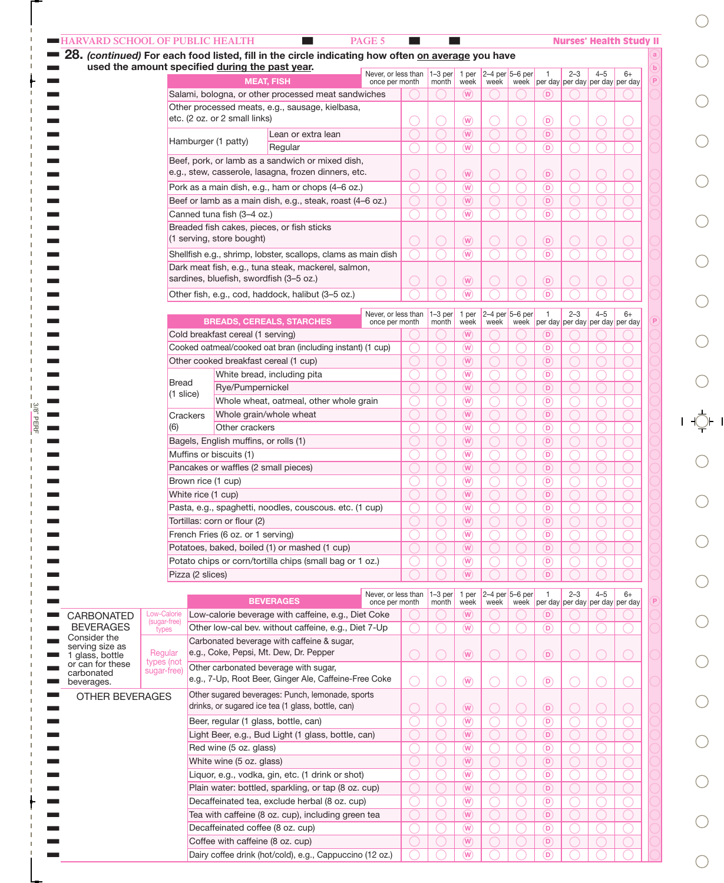| <b>HARVARD SCHOOL OF PUBLIC HEALTH</b>          |              |                     |                                       | 28. (continued) For each food listed, fill in the circle indicating how often on average you have     | PAGE 5                                |                           |                             |      |                         |                                    |            |                                            | <b>Nurses' Health Study II</b> |
|-------------------------------------------------|--------------|---------------------|---------------------------------------|-------------------------------------------------------------------------------------------------------|---------------------------------------|---------------------------|-----------------------------|------|-------------------------|------------------------------------|------------|--------------------------------------------|--------------------------------|
| used the amount specified during the past year. |              |                     |                                       |                                                                                                       | Never, or less than                   | $1-3$ per                 | 1 per                       |      | $2-4$ per $5-6$ per     | $\overline{1}$                     | $2 - 3$    | $4 - 5$                                    | $6+$                           |
|                                                 |              |                     |                                       | <b>MEAT, FISH</b>                                                                                     | once per month                        | month                     | week                        | week |                         |                                    |            | week per day per day per day per day       |                                |
|                                                 |              |                     |                                       | Salami, bologna, or other processed meat sandwiches                                                   |                                       |                           | (W)                         |      |                         | $\left( \textbf{D}\right)$         |            |                                            |                                |
|                                                 |              |                     |                                       | Other processed meats, e.g., sausage, kielbasa,                                                       |                                       |                           |                             |      |                         |                                    |            |                                            |                                |
|                                                 |              |                     | etc. (2 oz. or 2 small links)         |                                                                                                       |                                       |                           | $\overline{w}$              |      |                         | $\circ$                            |            |                                            |                                |
|                                                 |              |                     |                                       | Lean or extra lean                                                                                    |                                       | $\overline{(\mathsf{W})}$ |                             |      | (D)                     |                                    |            |                                            |                                |
|                                                 |              |                     | Hamburger (1 patty)                   | Regular                                                                                               |                                       |                           | $\overline{w}$              |      |                         | (D)                                |            |                                            |                                |
|                                                 |              |                     |                                       | Beef, pork, or lamb as a sandwich or mixed dish,                                                      |                                       |                           |                             |      |                         |                                    |            |                                            |                                |
|                                                 |              |                     |                                       | e.g., stew, casserole, lasagna, frozen dinners, etc.                                                  |                                       |                           | $\left(\overline{W}\right)$ |      |                         | $\circ$                            |            |                                            |                                |
|                                                 |              |                     |                                       | Pork as a main dish, e.g., ham or chops (4-6 oz.)                                                     |                                       |                           | $\left(\mathbf{W}\right)$   |      |                         | (D)                                |            |                                            |                                |
|                                                 |              |                     |                                       | Beef or lamb as a main dish, e.g., steak, roast (4-6 oz.)                                             |                                       |                           | $\overline{(\mathsf{W})}$   |      |                         | (D)                                |            |                                            |                                |
|                                                 |              |                     | Canned tuna fish (3-4 oz.)            |                                                                                                       |                                       |                           | $\overline{(\mathsf{W})}$   |      |                         | (D)                                |            |                                            |                                |
|                                                 |              |                     |                                       | Breaded fish cakes, pieces, or fish sticks                                                            |                                       |                           |                             |      |                         |                                    |            |                                            |                                |
|                                                 |              |                     | (1 serving, store bought)             |                                                                                                       |                                       |                           | $\left(\overline{W}\right)$ |      |                         | $\circ$                            |            |                                            |                                |
|                                                 |              |                     |                                       | Shellfish e.g., shrimp, lobster, scallops, clams as main dish                                         |                                       |                           | $\left(\mathbf{W}\right)$   |      |                         | (D)                                |            |                                            |                                |
|                                                 |              |                     |                                       | Dark meat fish, e.g., tuna steak, mackerel, salmon,                                                   |                                       |                           |                             |      |                         |                                    |            |                                            |                                |
|                                                 |              |                     |                                       | sardines, bluefish, swordfish (3-5 oz.)                                                               |                                       |                           | $\left(\overline{W}\right)$ |      |                         | $\circ$                            |            |                                            |                                |
|                                                 |              |                     |                                       |                                                                                                       |                                       |                           |                             |      |                         | (D)                                |            |                                            |                                |
|                                                 |              |                     |                                       | Other fish, e.g., cod, haddock, halibut (3-5 oz.)                                                     |                                       |                           | $\overline{\mathsf{w}}$     |      |                         |                                    |            |                                            |                                |
|                                                 |              |                     |                                       |                                                                                                       | Never, or less than                   | $1-3$ per                 | 1 per                       |      | $2-4$ per 5-6 per       | $\overline{1}$                     | $2 - 3$    | $4 - 5$                                    | $6+$                           |
|                                                 |              |                     |                                       | <b>BREADS, CEREALS, STARCHES</b>                                                                      | once per month                        | month                     | week                        | week | week                    |                                    |            | per day per day per day per day            |                                |
|                                                 |              |                     | Cold breakfast cereal (1 serving)     |                                                                                                       |                                       |                           | (W)                         |      |                         | $\mathbf \left( \mathbf D \right)$ |            |                                            |                                |
|                                                 |              |                     |                                       | Cooked oatmeal/cooked oat bran (including instant) (1 cup)                                            |                                       |                           | $\overline{w}$              |      |                         | (D)                                |            |                                            |                                |
|                                                 |              |                     |                                       | Other cooked breakfast cereal (1 cup)                                                                 |                                       |                           | $\overline{w}$              |      |                         | $\left( \nabla \right)$            |            |                                            |                                |
|                                                 | <b>Bread</b> |                     |                                       | White bread, including pita                                                                           |                                       |                           | $\overline{w}$              |      |                         | $\left( \nabla \right)$            |            |                                            |                                |
|                                                 |              | $(1 \text{ slice})$ | Rye/Pumpernickel                      |                                                                                                       |                                       |                           | $\overline{w}$              |      |                         | $\left( \mathbf{D}\right)$         |            |                                            |                                |
|                                                 |              |                     |                                       | Whole wheat, oatmeal, other whole grain                                                               |                                       |                           | $\overline{w}$              |      |                         | $\left( \nabla \right)$            |            |                                            |                                |
|                                                 |              | Crackers            |                                       | Whole grain/whole wheat                                                                               |                                       |                           | $\overline{w}$              |      |                         | $\left( \mathbf{D}\right)$         |            |                                            |                                |
|                                                 | (6)          |                     | Other crackers                        |                                                                                                       |                                       |                           | $\overline{w}$              |      |                         | $\left( \nabla \right)$            |            |                                            |                                |
|                                                 |              |                     | Bagels, English muffins, or rolls (1) |                                                                                                       |                                       |                           | $\overline{w}$              |      |                         | $\left( \mathbf{D}\right)$         |            |                                            |                                |
|                                                 |              |                     | Muffins or biscuits (1)               |                                                                                                       |                                       |                           | $\overline{w}$              |      |                         | $\left( \nabla \right)$            |            |                                            |                                |
|                                                 |              |                     |                                       | Pancakes or waffles (2 small pieces)                                                                  |                                       |                           | $\overline{w}$              |      |                         | (D)                                |            |                                            |                                |
|                                                 |              | Brown rice (1 cup)  |                                       |                                                                                                       |                                       |                           | $\overline{w}$              |      |                         | $\circ$                            |            |                                            |                                |
|                                                 |              | White rice (1 cup)  |                                       |                                                                                                       |                                       |                           | $\overline{w}$              |      |                         | (D)                                |            |                                            |                                |
|                                                 |              |                     |                                       | Pasta, e.g., spaghetti, noodles, couscous. etc. (1 cup)                                               |                                       |                           | $\left(\overline{W}\right)$ |      |                         | $\circ$                            |            |                                            |                                |
|                                                 |              |                     | Tortillas: corn or flour (2)          |                                                                                                       |                                       |                           | $\overline{w}$              |      |                         | $\circ$                            |            |                                            |                                |
|                                                 |              |                     | French Fries (6 oz. or 1 serving)     |                                                                                                       |                                       |                           | $\overline{(\mathsf{W})}$   |      |                         | $\circ$                            |            |                                            |                                |
|                                                 |              |                     |                                       | Potatoes, baked, boiled (1) or mashed (1 cup)                                                         |                                       |                           | $\overline{(\mathsf{W})}$   |      |                         | (D)                                |            |                                            |                                |
|                                                 |              |                     |                                       | Potato chips or corn/tortilla chips (small bag or 1 oz.)                                              |                                       |                           | $\sqrt{W}$                  |      |                         | $\circ$                            |            |                                            |                                |
|                                                 |              | Pizza (2 slices)    |                                       |                                                                                                       |                                       |                           | $(\mathsf{W})$              |      |                         | $\circ$                            |            |                                            |                                |
|                                                 |              |                     |                                       |                                                                                                       |                                       |                           |                             |      |                         |                                    |            |                                            |                                |
|                                                 |              |                     |                                       | <b>BEVERAGES</b>                                                                                      | Never, or less than<br>once per month | $1-3$ per<br>month        | 1 per<br>week               | week | 2-4 per 5-6 per<br>week | $\overline{1}$                     | $2 - 3$    | $4 - 5$<br>per day per day per day per day | $6+$                           |
| CARBONATED                                      | Low-Calorie  |                     |                                       | Low-calorie beverage with caffeine, e.g., Diet Coke                                                   |                                       |                           | (W)                         |      |                         | $\left( \textbf{D}\right)$         |            |                                            |                                |
| <b>BEVERAGES</b>                                | (sugar-free) |                     |                                       | Other low-cal bev. without caffeine, e.g., Diet 7-Up                                                  |                                       |                           | $\overline{w}$              |      |                         | (D)                                |            |                                            |                                |
| Consider the                                    | types        |                     |                                       | Carbonated beverage with caffeine & sugar,                                                            |                                       |                           |                             |      |                         |                                    |            |                                            |                                |
| serving size as                                 | Regular      |                     |                                       | e.g., Coke, Pepsi, Mt. Dew, Dr. Pepper                                                                |                                       |                           | $\circledR$                 |      | $\bigcirc$              | $\circ$                            | $\bigcirc$ |                                            |                                |
| glass, bottle<br>or can for these               | types (not   |                     |                                       | Other carbonated beverage with sugar,                                                                 |                                       |                           |                             |      |                         |                                    |            |                                            |                                |
| carbonated                                      | sugar-free)  |                     |                                       | e.g., 7-Up, Root Beer, Ginger Ale, Caffeine-Free Coke                                                 |                                       |                           |                             |      |                         |                                    |            |                                            |                                |
| beverages.                                      |              |                     |                                       |                                                                                                       |                                       |                           | $\circledR$                 |      |                         | $\circled{D}$                      |            |                                            |                                |
| OTHER BEVERAGES                                 |              |                     |                                       | Other sugared beverages: Punch, lemonade, sports<br>drinks, or sugared ice tea (1 glass, bottle, can) |                                       |                           |                             |      |                         |                                    |            |                                            |                                |
|                                                 |              |                     |                                       |                                                                                                       |                                       | $\circledR$               |                             |      | $\circ$                 |                                    |            |                                            |                                |
|                                                 |              |                     |                                       | Beer, regular (1 glass, bottle, can)                                                                  |                                       |                           | $\circled{w}$               |      |                         | $\circ$                            |            |                                            |                                |
|                                                 |              |                     |                                       | Light Beer, e.g., Bud Light (1 glass, bottle, can)                                                    |                                       |                           | $\left(\overline{W}\right)$ |      |                         | $\circ$                            |            |                                            |                                |
|                                                 |              |                     | Red wine (5 oz. glass)                |                                                                                                       |                                       |                           | $\overline{w}$              |      |                         | $\circ$                            |            |                                            |                                |
|                                                 |              |                     | White wine (5 oz. glass)              |                                                                                                       |                                       |                           | $\overline{(\mathsf{W})}$   |      |                         | $\circ$                            |            |                                            |                                |
|                                                 |              |                     |                                       | Liquor, e.g., vodka, gin, etc. (1 drink or shot)                                                      |                                       |                           | $\overline{w}$              |      |                         | $\circ$                            |            |                                            |                                |
|                                                 |              |                     |                                       | Plain water: bottled, sparkling, or tap (8 oz. cup)                                                   |                                       |                           | $\overline{(\mathsf{W})}$   |      |                         | $\circ$                            |            |                                            |                                |
|                                                 |              |                     |                                       | Decaffeinated tea, exclude herbal (8 oz. cup)                                                         |                                       |                           | $\overline{w}$              |      |                         | $\circ$                            |            |                                            |                                |
|                                                 |              |                     |                                       | Tea with caffeine (8 oz. cup), including green tea                                                    |                                       |                           | $\overline{(\mathsf{W})}$   |      |                         | (D)                                |            |                                            |                                |
|                                                 |              |                     |                                       | Decaffeinated coffee (8 oz. cup)                                                                      |                                       |                           | $\overline{w}$              |      |                         | $\circ$                            |            |                                            |                                |
|                                                 |              |                     |                                       |                                                                                                       |                                       |                           |                             |      |                         |                                    |            |                                            |                                |
|                                                 |              |                     | Coffee with caffeine (8 oz. cup)      |                                                                                                       |                                       |                           | $\overline{(\mathsf{W})}$   |      |                         | (D)                                |            |                                            |                                |

3/8" PERF

 $\frac{3/8}{2}$  PERE